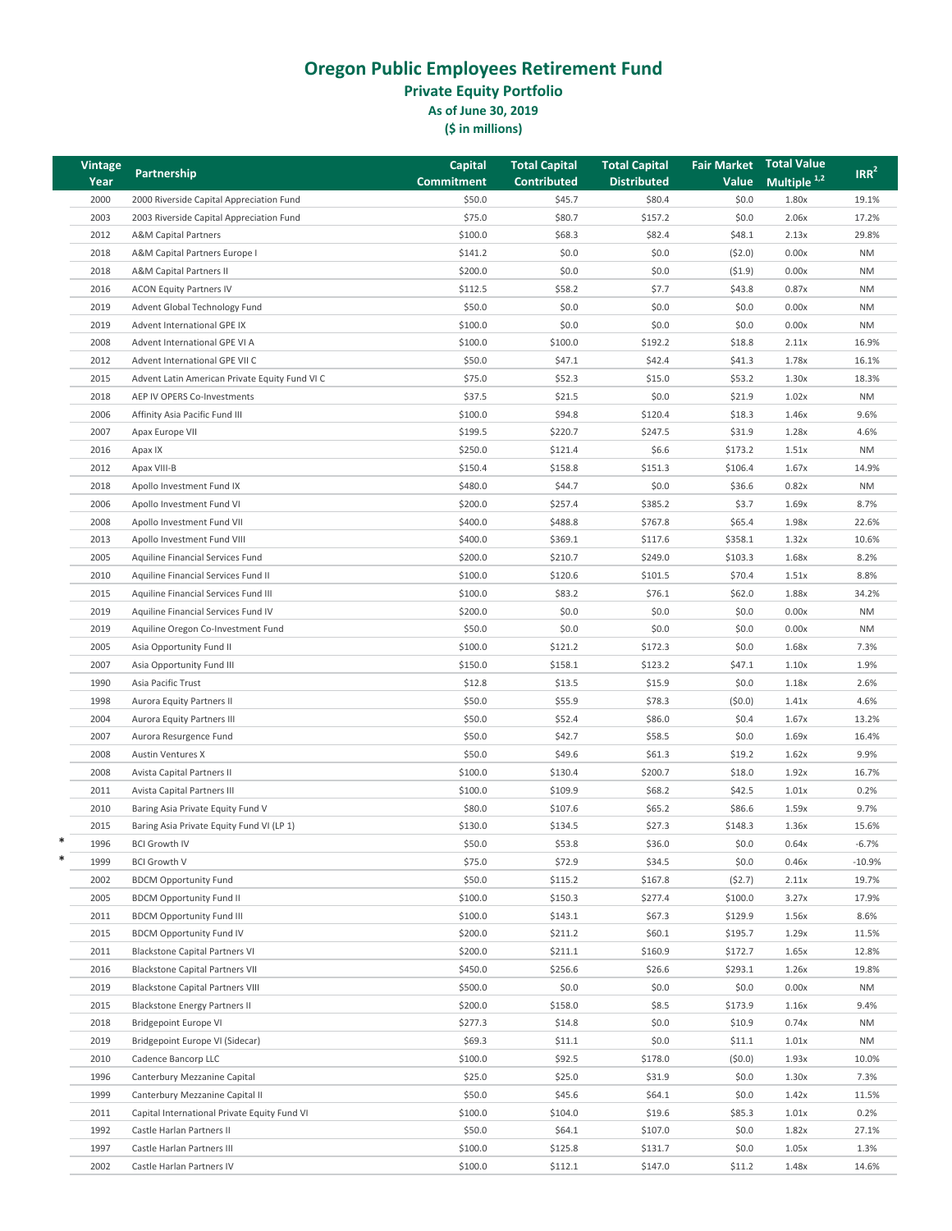**Private Equity Portfolio**

**As of June 30, 2019**

| <b>Vintage</b> | Partnership                                    | <b>Capital</b> | <b>Total Capital</b> | <b>Total Capital</b> | <b>Fair Market</b> | Total Value             | IRR <sup>2</sup> |
|----------------|------------------------------------------------|----------------|----------------------|----------------------|--------------------|-------------------------|------------------|
| Year           |                                                | Commitment     | <b>Contributed</b>   | <b>Distributed</b>   | Value              | Multiple <sup>1,2</sup> |                  |
| 2000           | 2000 Riverside Capital Appreciation Fund       | \$50.0         | \$45.7               | \$80.4               | \$0.0              | 1.80x                   | 19.1%            |
| 2003           | 2003 Riverside Capital Appreciation Fund       | \$75.0         | \$80.7               | \$157.2              | \$0.0              | 2.06x                   | 17.2%            |
| 2012           | <b>A&amp;M Capital Partners</b>                | \$100.0        | \$68.3               | \$82.4               | \$48.1             | 2.13x                   | 29.8%            |
| 2018           | A&M Capital Partners Europe I                  | \$141.2        | \$0.0                | \$0.0                | (52.0)             | 0.00x                   | <b>NM</b>        |
| 2018           | A&M Capital Partners II                        | \$200.0        | \$0.0                | \$0.0\$              | (51.9)             | 0.00x                   | <b>NM</b>        |
| 2016           | <b>ACON Equity Partners IV</b>                 | \$112.5        | \$58.2               | \$7.7                | \$43.8             | 0.87x                   | <b>NM</b>        |
| 2019           | Advent Global Technology Fund                  | \$50.0         | \$0.0\$              | \$0.0\$              | \$0.0              | 0.00x                   | <b>NM</b>        |
| 2019           | Advent International GPE IX                    | \$100.0        | \$0.0                | \$0.0\$              | \$0.0              | 0.00x                   | <b>NM</b>        |
| 2008           | Advent International GPE VI A                  | \$100.0        | \$100.0              | \$192.2              | \$18.8             | 2.11x                   | 16.9%            |
| 2012           | Advent International GPE VII C                 | \$50.0         | \$47.1               | \$42.4               | \$41.3             | 1.78x                   | 16.1%            |
| 2015           | Advent Latin American Private Equity Fund VI C | \$75.0         | \$52.3               | \$15.0               | \$53.2             | 1.30x                   | 18.3%            |
| 2018           | AEP IV OPERS Co-Investments                    | \$37.5         | \$21.5               | \$0.0                | \$21.9             | 1.02x                   | <b>NM</b>        |
| 2006           | Affinity Asia Pacific Fund III                 | \$100.0        | \$94.8               | \$120.4              | \$18.3             | 1.46x                   | 9.6%             |
| 2007           | Apax Europe VII                                | \$199.5        | \$220.7              | \$247.5              | \$31.9             | 1.28x                   | 4.6%             |
| 2016           | Apax IX                                        | \$250.0        | \$121.4              | \$6.6                | \$173.2            | 1.51x                   | <b>NM</b>        |
| 2012           | Apax VIII-B                                    | \$150.4        | \$158.8              | \$151.3              | \$106.4            | 1.67x                   | 14.9%            |
| 2018           | Apollo Investment Fund IX                      | \$480.0        | \$44.7               | \$0.0\$              | \$36.6             | 0.82x                   | <b>NM</b>        |
| 2006           | Apollo Investment Fund VI                      | \$200.0        | \$257.4              | \$385.2              | \$3.7              | 1.69x                   | 8.7%             |
| 2008           | Apollo Investment Fund VII                     | \$400.0        | \$488.8              | \$767.8              | \$65.4             | 1.98x                   | 22.6%            |
| 2013           | Apollo Investment Fund VIII                    | \$400.0        | \$369.1              | \$117.6              | \$358.1            | 1.32x                   | 10.6%            |
| 2005           | Aquiline Financial Services Fund               | \$200.0        | \$210.7              | \$249.0              | \$103.3            | 1.68x                   | 8.2%             |
| 2010           | Aquiline Financial Services Fund II            | \$100.0        | \$120.6              | \$101.5              | \$70.4             | 1.51x                   | 8.8%             |
| 2015           | Aquiline Financial Services Fund III           | \$100.0        | \$83.2               | \$76.1               | \$62.0             | 1.88x                   | 34.2%            |
| 2019           | Aquiline Financial Services Fund IV            | \$200.0        | \$0.0                | \$0.0                | \$0.0              | 0.00x                   | <b>NM</b>        |
| 2019           | Aquiline Oregon Co-Investment Fund             | \$50.0         | \$0.0                | \$0.0\$              | \$0.0              | 0.00x                   | <b>NM</b>        |
| 2005           | Asia Opportunity Fund II                       | \$100.0        | \$121.2              | \$172.3              | \$0.0              | 1.68x                   | 7.3%             |
| 2007           | Asia Opportunity Fund III                      | \$150.0        | \$158.1              | \$123.2              | \$47.1             | 1.10x                   | 1.9%             |
| 1990           | Asia Pacific Trust                             | \$12.8         | \$13.5               | \$15.9               | \$0.0              | 1.18x                   | 2.6%             |
| 1998           | Aurora Equity Partners II                      | \$50.0         | \$55.9               | \$78.3               | (50.0)             | 1.41x                   | 4.6%             |
| 2004           | Aurora Equity Partners III                     | \$50.0         | \$52.4               | \$86.0               | \$0.4              | 1.67x                   | 13.2%            |
| 2007           | Aurora Resurgence Fund                         | \$50.0         | \$42.7               | \$58.5               | \$0.0              | 1.69x                   | 16.4%            |
| 2008           | <b>Austin Ventures X</b>                       | \$50.0         | \$49.6               | \$61.3               | \$19.2             | 1.62x                   | 9.9%             |
| 2008           | Avista Capital Partners II                     | \$100.0        | \$130.4              | \$200.7              | \$18.0             | 1.92x                   | 16.7%            |
| 2011           | Avista Capital Partners III                    | \$100.0        | \$109.9              | \$68.2               | \$42.5             | 1.01x                   | 0.2%             |
| 2010           | Baring Asia Private Equity Fund V              | \$80.0         | \$107.6              | \$65.2               | \$86.6             | 1.59x                   | 9.7%             |
| 2015           | Baring Asia Private Equity Fund VI (LP 1)      | \$130.0        | \$134.5              | \$27.3               | \$148.3            | 1.36x                   | 15.6%            |
| 1996           | <b>BCI Growth IV</b>                           | \$50.0         | \$53.8               | \$36.0               | \$0.0              | 0.64x                   | $-6.7%$          |
| $\ast$<br>1999 | <b>BCI Growth V</b>                            | \$75.0         | \$72.9               | \$34.5               | \$0.0              | 0.46x                   | $-10.9%$         |
| 2002           | <b>BDCM Opportunity Fund</b>                   | \$50.0         | \$115.2              | \$167.8              | (52.7)             | 2.11x                   | 19.7%            |
| 2005           | <b>BDCM Opportunity Fund II</b>                | \$100.0        | \$150.3              | \$277.4              | \$100.0            | 3.27x                   | 17.9%            |
| 2011           | <b>BDCM Opportunity Fund III</b>               | \$100.0        | \$143.1              | \$67.3               | \$129.9            | 1.56x                   | 8.6%             |
| 2015           | <b>BDCM Opportunity Fund IV</b>                | \$200.0        | \$211.2              | \$60.1               | \$195.7            | 1.29x                   | 11.5%            |
| 2011           | <b>Blackstone Capital Partners VI</b>          | \$200.0        | \$211.1              | \$160.9              | \$172.7            | 1.65x                   | 12.8%            |
| 2016           | <b>Blackstone Capital Partners VII</b>         | \$450.0        | \$256.6              | \$26.6               | \$293.1            | 1.26x                   | 19.8%            |
| 2019           | <b>Blackstone Capital Partners VIII</b>        | \$500.0        | \$0.0\$              | \$0.0\$              | \$0.0              | 0.00x                   | <b>NM</b>        |
| 2015           | <b>Blackstone Energy Partners II</b>           | \$200.0        | \$158.0              | \$8.5                | \$173.9            | 1.16x                   | 9.4%             |
| 2018           | <b>Bridgepoint Europe VI</b>                   | \$277.3        | \$14.8               | \$0.0\$              | \$10.9             | 0.74x                   | ΝM               |
| 2019           | Bridgepoint Europe VI (Sidecar)                | \$69.3         | \$11.1               | \$0.0\$              | \$11.1             | 1.01x                   | <b>NM</b>        |
| 2010           | Cadence Bancorp LLC                            | \$100.0        | \$92.5               | \$178.0              | (50.0)             | 1.93x                   | 10.0%            |
| 1996           | Canterbury Mezzanine Capital                   | \$25.0         | \$25.0               | \$31.9               | \$0.0              | 1.30x                   | 7.3%             |
| 1999           | Canterbury Mezzanine Capital II                | \$50.0         | \$45.6               | \$64.1               | \$0.0              | 1.42x                   | 11.5%            |
| 2011           | Capital International Private Equity Fund VI   | \$100.0        | \$104.0              | \$19.6               | \$85.3             | 1.01x                   | 0.2%             |
| 1992           | Castle Harlan Partners II                      | \$50.0         | \$64.1               | \$107.0              | \$0.0              | 1.82x                   | 27.1%            |
| 1997           | Castle Harlan Partners III                     | \$100.0        | \$125.8              | \$131.7              | \$0.0              | 1.05x                   | 1.3%             |
| 2002           | Castle Harlan Partners IV                      | \$100.0        | \$112.1              | \$147.0              | \$11.2             | 1.48x                   | 14.6%            |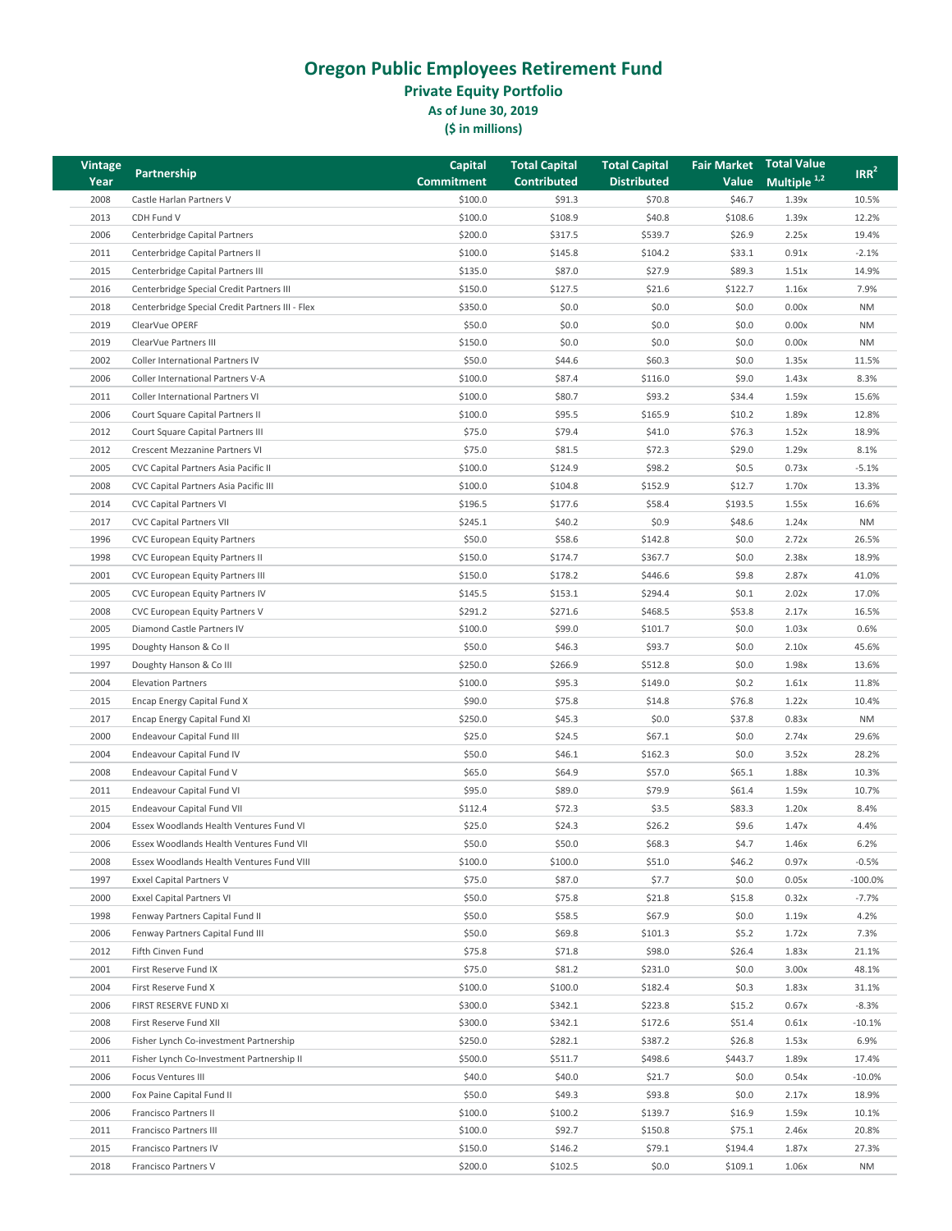**Private Equity Portfolio**

**As of June 30, 2019**

| <b>Vintage</b> |                                                 | Capital           | <b>Total Capital</b> | <b>Total Capital</b> | <b>Fair Market</b> | <b>Total Value</b>      | IRR <sup>2</sup> |
|----------------|-------------------------------------------------|-------------------|----------------------|----------------------|--------------------|-------------------------|------------------|
| Year           | Partnership                                     | <b>Commitment</b> | <b>Contributed</b>   | <b>Distributed</b>   | Value              | Multiple <sup>1,2</sup> |                  |
| 2008           | Castle Harlan Partners V                        | \$100.0           | \$91.3               | \$70.8               | \$46.7             | 1.39x                   | 10.5%            |
| 2013           | CDH Fund V                                      | \$100.0           | \$108.9              | \$40.8               | \$108.6            | 1.39x                   | 12.2%            |
| 2006           | Centerbridge Capital Partners                   | \$200.0           | \$317.5              | \$539.7              | \$26.9             | 2.25x                   | 19.4%            |
| 2011           | Centerbridge Capital Partners II                | \$100.0           | \$145.8              | \$104.2              | \$33.1             | 0.91x                   | $-2.1%$          |
| 2015           | Centerbridge Capital Partners III               | \$135.0           | \$87.0               | \$27.9               | \$89.3             | 1.51x                   | 14.9%            |
| 2016           | Centerbridge Special Credit Partners III        | \$150.0           | \$127.5              | \$21.6               | \$122.7            | 1.16x                   | 7.9%             |
| 2018           | Centerbridge Special Credit Partners III - Flex | \$350.0           | \$0.0                | \$0.0\$              | \$0.0              | 0.00x                   | <b>NM</b>        |
| 2019           | ClearVue OPERF                                  | \$50.0            | \$0.0                | \$0.0                | \$0.0              | 0.00x                   | <b>NM</b>        |
| 2019           | ClearVue Partners III                           | \$150.0           | \$0.0                | \$0.0\$              | \$0.0              | 0.00x                   | <b>NM</b>        |
| 2002           | Coller International Partners IV                | \$50.0            | \$44.6               | \$60.3\$             | \$0.0\$            | 1.35x                   | 11.5%            |
| 2006           | Coller International Partners V-A               | \$100.0           | \$87.4               | \$116.0              | \$9.0              | 1.43x                   | 8.3%             |
| 2011           | Coller International Partners VI                | \$100.0           | \$80.7               | \$93.2               | \$34.4             | 1.59x                   | 15.6%            |
| 2006           | Court Square Capital Partners II                | \$100.0           | \$95.5               | \$165.9              | \$10.2             | 1.89x                   | 12.8%            |
| 2012           | Court Square Capital Partners III               | \$75.0            | \$79.4               | \$41.0               | \$76.3             | 1.52x                   | 18.9%            |
| 2012           | Crescent Mezzanine Partners VI                  | \$75.0            | \$81.5               | \$72.3               | \$29.0             | 1.29x                   | 8.1%             |
| 2005           | CVC Capital Partners Asia Pacific II            | \$100.0           | \$124.9              | \$98.2               | \$0.5              | 0.73x                   | $-5.1%$          |
| 2008           | CVC Capital Partners Asia Pacific III           | \$100.0           | \$104.8              | \$152.9              | \$12.7             | 1.70x                   | 13.3%            |
| 2014           | <b>CVC Capital Partners VI</b>                  | \$196.5           | \$177.6              | \$58.4               | \$193.5            | 1.55x                   | 16.6%            |
| 2017           | <b>CVC Capital Partners VII</b>                 | \$245.1           | \$40.2               | \$0.9                | \$48.6             | 1.24x                   | <b>NM</b>        |
| 1996           | CVC European Equity Partners                    | \$50.0            | \$58.6               | \$142.8              | \$0.0\$            | 2.72x                   | 26.5%            |
| 1998           | CVC European Equity Partners II                 | \$150.0           | \$174.7              | \$367.7              | \$0.0\$            | 2.38x                   | 18.9%            |
| 2001           | CVC European Equity Partners III                | \$150.0           | \$178.2              | \$446.6              | \$9.8              | 2.87x                   | 41.0%            |
| 2005           | CVC European Equity Partners IV                 | \$145.5           | \$153.1              | \$294.4              | \$0.1              | 2.02x                   | 17.0%            |
| 2008           | CVC European Equity Partners V                  | \$291.2           | \$271.6              | \$468.5              | \$53.8             | 2.17x                   | 16.5%            |
| 2005           | Diamond Castle Partners IV                      | \$100.0           | \$99.0               | \$101.7              | \$0.0\$            | 1.03x                   | 0.6%             |
| 1995           | Doughty Hanson & Co II                          | \$50.0            | \$46.3               | \$93.7               | \$0.0\$            | 2.10x                   | 45.6%            |
| 1997           | Doughty Hanson & Co III                         | \$250.0           | \$266.9              | \$512.8              | \$0.0              | 1.98x                   | 13.6%            |
| 2004           | <b>Elevation Partners</b>                       | \$100.0           | \$95.3               | \$149.0              | \$0.2\$            | 1.61x                   | 11.8%            |
| 2015           | Encap Energy Capital Fund X                     | \$90.0            | \$75.8               | \$14.8               | \$76.8             | 1.22x                   | 10.4%            |
| 2017           | Encap Energy Capital Fund XI                    | \$250.0           | \$45.3               | \$0.0\$              | \$37.8             | 0.83x                   | <b>NM</b>        |
| 2000           | Endeavour Capital Fund III                      | \$25.0            | \$24.5               | \$67.1               | \$0.0\$            | 2.74x                   | 29.6%            |
| 2004           | Endeavour Capital Fund IV                       | \$50.0            | \$46.1               | \$162.3              | \$0.0\$            | 3.52x                   | 28.2%            |
| 2008           | Endeavour Capital Fund V                        | \$65.0            | \$64.9               | \$57.0               | \$65.1             | 1.88x                   | 10.3%            |
| 2011           | Endeavour Capital Fund VI                       | \$95.0            | \$89.0               | \$79.9               | \$61.4             | 1.59x                   | 10.7%            |
| 2015           | Endeavour Capital Fund VII                      | \$112.4           | \$72.3               | \$3.5                | \$83.3             | 1.20x                   | 8.4%             |
| 2004           | Essex Woodlands Health Ventures Fund VI         | \$25.0            | \$24.3               | \$26.2               | \$9.6              | 1.47x                   | 4.4%             |
| 2006           | Essex Woodlands Health Ventures Fund VII        | \$50.0            | \$50.0               | \$68.3               | \$4.7              | 1.46x                   | 6.2%             |
| 2008           | Essex Woodlands Health Ventures Fund VIII       | \$100.0           | \$100.0              | \$51.0               | \$46.2             | 0.97x                   | $-0.5%$          |
| 1997           | Exxel Capital Partners V                        | \$75.0            | \$87.0               | \$7.7                | \$0.0\$            | 0.05x                   | $-100.0%$        |
| 2000           | <b>Exxel Capital Partners VI</b>                | \$50.0            | \$75.8               | \$21.8               | \$15.8             | 0.32x                   | $-7.7%$          |
| 1998           | Fenway Partners Capital Fund II                 | \$50.0            | \$58.5               | \$67.9               | \$0.0\$            | 1.19x                   | 4.2%             |
| 2006           | Fenway Partners Capital Fund III                | \$50.0            | \$69.8               | \$101.3              | \$5.2              | 1.72x                   | 7.3%             |
| 2012           | Fifth Cinven Fund                               | \$75.8            | \$71.8               | \$98.0               | \$26.4             | 1.83x                   | 21.1%            |
| 2001           | First Reserve Fund IX                           | \$75.0            | \$81.2               | \$231.0              | \$0.0\$            | 3.00x                   | 48.1%            |
| 2004           | First Reserve Fund X                            | \$100.0           | \$100.0              | \$182.4              | \$0.3\$            | 1.83x                   | 31.1%            |
| 2006           | FIRST RESERVE FUND XI                           | \$300.0           | \$342.1              | \$223.8              | \$15.2             | 0.67x                   | $-8.3%$          |
| 2008           | First Reserve Fund XII                          | \$300.0           | \$342.1              | \$172.6              | \$51.4             | 0.61x                   | $-10.1%$         |
| 2006           | Fisher Lynch Co-investment Partnership          | \$250.0           | \$282.1              | \$387.2              | \$26.8             | 1.53x                   | 6.9%             |
| 2011           | Fisher Lynch Co-Investment Partnership II       | \$500.0           | \$511.7              | \$498.6              | \$443.7            | 1.89x                   | 17.4%            |
| 2006           | <b>Focus Ventures III</b>                       | \$40.0            | \$40.0               | \$21.7               | \$0.0\$            | 0.54x                   | $-10.0%$         |
| 2000           | Fox Paine Capital Fund II                       | \$50.0            | \$49.3               | \$93.8               | \$0.0\$            | 2.17x                   | 18.9%            |
| 2006           | Francisco Partners II                           | \$100.0           | \$100.2              | \$139.7              | \$16.9             | 1.59x                   | 10.1%            |
| 2011           | Francisco Partners III                          | \$100.0           | \$92.7               | \$150.8              | \$75.1             | 2.46x                   | 20.8%            |
| 2015           | Francisco Partners IV                           | \$150.0           | \$146.2              | \$79.1               | \$194.4            | 1.87x                   | 27.3%            |
| 2018           | Francisco Partners V                            | \$200.0           | \$102.5              | \$0.0\$              | \$109.1            | 1.06x                   | <b>NM</b>        |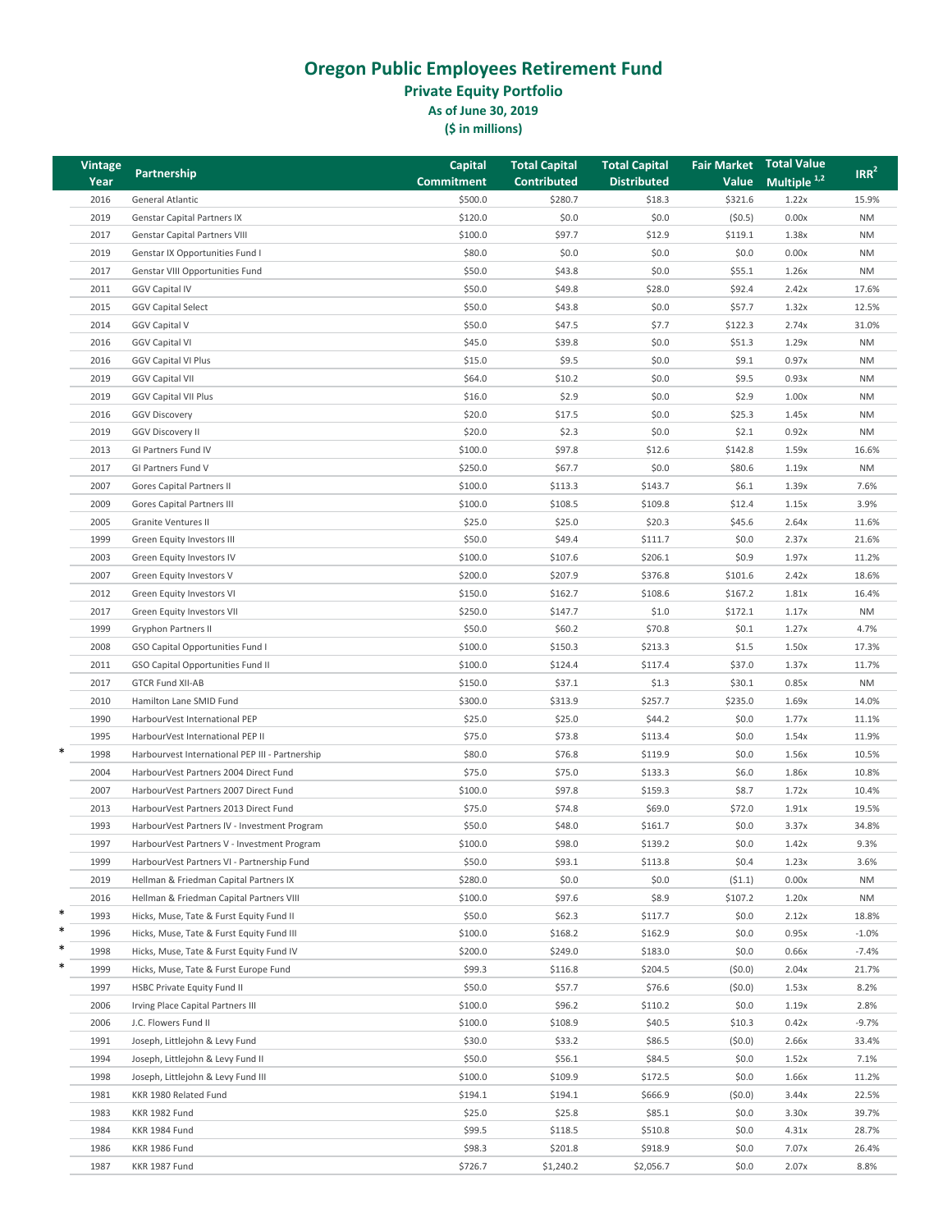**Private Equity Portfolio**

**As of June 30, 2019**

| <b>Vintage</b> |                                                 | <b>Capital</b>    | <b>Total Capital</b> | <b>Total Capital</b> | <b>Fair Market</b> | <b>Total Value</b>      | IRR <sup>2</sup> |
|----------------|-------------------------------------------------|-------------------|----------------------|----------------------|--------------------|-------------------------|------------------|
| Year           | Partnership                                     | <b>Commitment</b> | <b>Contributed</b>   | <b>Distributed</b>   | <b>Value</b>       | Multiple <sup>1,2</sup> |                  |
| 2016           | General Atlantic                                | \$500.0           | \$280.7              | \$18.3               | \$321.6            | 1.22x                   | 15.9%            |
| 2019           | <b>Genstar Capital Partners IX</b>              | \$120.0           | \$0.0                | \$0.0                | (50.5)             | 0.00x                   | <b>NM</b>        |
| 2017           | <b>Genstar Capital Partners VIII</b>            | \$100.0           | \$97.7               | \$12.9               | \$119.1            | 1.38x                   | <b>NM</b>        |
| 2019           | Genstar IX Opportunities Fund I                 | \$80.0            | \$0.0                | \$0.0                | \$0.0              | 0.00x                   | <b>NM</b>        |
| 2017           | Genstar VIII Opportunities Fund                 | \$50.0            | \$43.8               | \$0.0                | \$55.1             | 1.26x                   | <b>NM</b>        |
| 2011           | <b>GGV Capital IV</b>                           | \$50.0            | \$49.8               | \$28.0               | \$92.4             | 2.42x                   | 17.6%            |
| 2015           | <b>GGV Capital Select</b>                       | \$50.0            | \$43.8               | \$0.0                | \$57.7             | 1.32x                   | 12.5%            |
| 2014           | <b>GGV Capital V</b>                            | \$50.0            | \$47.5               | \$7.7                | \$122.3            | 2.74x                   | 31.0%            |
| 2016           | <b>GGV Capital VI</b>                           | \$45.0            | \$39.8               | \$0.0                | \$51.3             | 1.29x                   | <b>NM</b>        |
| 2016           | <b>GGV Capital VI Plus</b>                      | \$15.0            | \$9.5                | \$0.0                | \$9.1              | 0.97x                   | <b>NM</b>        |
| 2019           | <b>GGV Capital VII</b>                          | \$64.0            | \$10.2               | \$0.0                | \$9.5              | 0.93x                   | <b>NM</b>        |
| 2019           | <b>GGV Capital VII Plus</b>                     | \$16.0            | \$2.9                | \$0.0                | \$2.9              | 1.00x                   | <b>NM</b>        |
| 2016           | <b>GGV Discovery</b>                            | \$20.0            | \$17.5               | \$0.0                | \$25.3             | 1.45x                   | <b>NM</b>        |
| 2019           | <b>GGV Discovery II</b>                         | \$20.0            | \$2.3                | \$0.0                | \$2.1              | 0.92x                   | <b>NM</b>        |
| 2013           | GI Partners Fund IV                             | \$100.0           | \$97.8               | \$12.6               | \$142.8            | 1.59x                   | 16.6%            |
| 2017           | GI Partners Fund V                              | \$250.0           | \$67.7               | \$0.0                | \$80.6             | 1.19x                   | <b>NM</b>        |
| 2007           | Gores Capital Partners II                       | \$100.0           | \$113.3              | \$143.7              | \$6.1              | 1.39x                   | 7.6%             |
| 2009           | Gores Capital Partners III                      | \$100.0           | \$108.5              | \$109.8              | \$12.4             | 1.15x                   | 3.9%             |
| 2005           | Granite Ventures II                             | \$25.0            | \$25.0               | \$20.3               | \$45.6             | 2.64x                   | 11.6%            |
| 1999           | Green Equity Investors III                      | \$50.0            | \$49.4               | \$111.7              | \$0.0              | 2.37x                   | 21.6%            |
| 2003           | Green Equity Investors IV                       | \$100.0           | \$107.6              | \$206.1              | \$0.9              | 1.97x                   | 11.2%            |
| 2007           | Green Equity Investors V                        | \$200.0           | \$207.9              | \$376.8              | \$101.6            | 2.42x                   | 18.6%            |
| 2012           | Green Equity Investors VI                       | \$150.0           | \$162.7              | \$108.6              | \$167.2            | 1.81x                   | 16.4%            |
| 2017           | Green Equity Investors VII                      | \$250.0           | \$147.7              | \$1.0                | \$172.1            | 1.17x                   | <b>NM</b>        |
| 1999           | <b>Gryphon Partners II</b>                      | \$50.0            | \$60.2               | \$70.8               | \$0.1              | 1.27x                   | 4.7%             |
| 2008           | GSO Capital Opportunities Fund I                | \$100.0           | \$150.3              | \$213.3              | \$1.5              | 1.50x                   | 17.3%            |
| 2011           | GSO Capital Opportunities Fund II               | \$100.0           | \$124.4              | \$117.4              | \$37.0             | 1.37x                   | 11.7%            |
| 2017           | <b>GTCR Fund XII-AB</b>                         | \$150.0           | \$37.1               | \$1.3                | \$30.1             | 0.85x                   | <b>NM</b>        |
| 2010           | Hamilton Lane SMID Fund                         | \$300.0           | \$313.9              | \$257.7              | \$235.0            | 1.69x                   | 14.0%            |
| 1990           | HarbourVest International PEP                   | \$25.0            | \$25.0               | \$44.2               | \$0.0              | 1.77x                   | 11.1%            |
| 1995           | HarbourVest International PEP II                | \$75.0            | \$73.8               | \$113.4              | \$0.0              | 1.54x                   | 11.9%            |
| *<br>1998      | Harbourvest International PEP III - Partnership | \$80.0            | \$76.8               | \$119.9              | \$0.0              | 1.56x                   | 10.5%            |
| 2004           | HarbourVest Partners 2004 Direct Fund           | \$75.0            | \$75.0               | \$133.3              | \$6.0              | 1.86x                   | 10.8%            |
| 2007           | HarbourVest Partners 2007 Direct Fund           | \$100.0           | \$97.8               | \$159.3              | \$8.7              | 1.72x                   | 10.4%            |
| 2013           | HarbourVest Partners 2013 Direct Fund           | \$75.0            | \$74.8               | \$69.0               | \$72.0             | 1.91x                   | 19.5%            |
| 1993           | HarbourVest Partners IV - Investment Program    | \$50.0            | \$48.0               | \$161.7              | \$0.0              | 3.37x                   | 34.8%            |
| 1997           | HarbourVest Partners V - Investment Program     | \$100.0           | \$98.0               | \$139.2              | \$0.0              | 1.42x                   | 9.3%             |
| 1999           | HarbourVest Partners VI - Partnership Fund      | \$50.0            | \$93.1               | \$113.8              | \$0.4              | 1.23x                   | 3.6%             |
| 2019           | Hellman & Friedman Capital Partners IX          | \$280.0           | \$0.0                | \$0.0                | (51.1)             | 0.00x                   | <b>NM</b>        |
| 2016           | Hellman & Friedman Capital Partners VIII        | \$100.0           | \$97.6               | \$8.9                | \$107.2            | 1.20x                   | <b>NM</b>        |
| *<br>1993      | Hicks, Muse, Tate & Furst Equity Fund II        | \$50.0            | \$62.3               | \$117.7              | \$0.0              | 2.12x                   | 18.8%            |
| *<br>1996      | Hicks, Muse, Tate & Furst Equity Fund III       | \$100.0           | \$168.2              | \$162.9              | \$0.0              | 0.95x                   | $-1.0%$          |
| *<br>1998      | Hicks, Muse, Tate & Furst Equity Fund IV        | \$200.0           | \$249.0              | \$183.0              | \$0.0              | 0.66x                   | $-7.4%$          |
| *<br>1999      | Hicks, Muse, Tate & Furst Europe Fund           | \$99.3            | \$116.8              | \$204.5              | (50.0)             | 2.04x                   | 21.7%            |
| 1997           | HSBC Private Equity Fund II                     | \$50.0            | \$57.7               | \$76.6               | (50.0)             | 1.53x                   | 8.2%             |
| 2006           | Irving Place Capital Partners III               | \$100.0           | \$96.2               | \$110.2              | \$0.0              | 1.19x                   | 2.8%             |
| 2006           | J.C. Flowers Fund II                            | \$100.0           | \$108.9              | \$40.5               | \$10.3             | 0.42x                   | $-9.7%$          |
| 1991           | Joseph, Littlejohn & Levy Fund                  | \$30.0            | \$33.2               | \$86.5               | (50.0)             | 2.66x                   | 33.4%            |
| 1994           | Joseph, Littlejohn & Levy Fund II               | \$50.0            | \$56.1               | \$84.5               | \$0.0              | 1.52x                   | 7.1%             |
| 1998           | Joseph, Littlejohn & Levy Fund III              | \$100.0           | \$109.9              | \$172.5              | \$0.0              | 1.66x                   | 11.2%            |
| 1981           | KKR 1980 Related Fund                           | \$194.1           | \$194.1              | \$666.9              | (50.0)             | 3.44x                   | 22.5%            |
| 1983           | KKR 1982 Fund                                   | \$25.0            | \$25.8               | \$85.1               | \$0.0              | 3.30x                   | 39.7%            |
| 1984           | KKR 1984 Fund                                   | \$99.5            | \$118.5              | \$510.8              | \$0.0              | 4.31x                   | 28.7%            |
| 1986           | KKR 1986 Fund                                   | \$98.3            | \$201.8              | \$918.9              | \$0.0              | 7.07x                   | 26.4%            |
| 1987           | KKR 1987 Fund                                   | \$726.7           | \$1,240.2            | \$2,056.7            | \$0.0              | 2.07x                   | 8.8%             |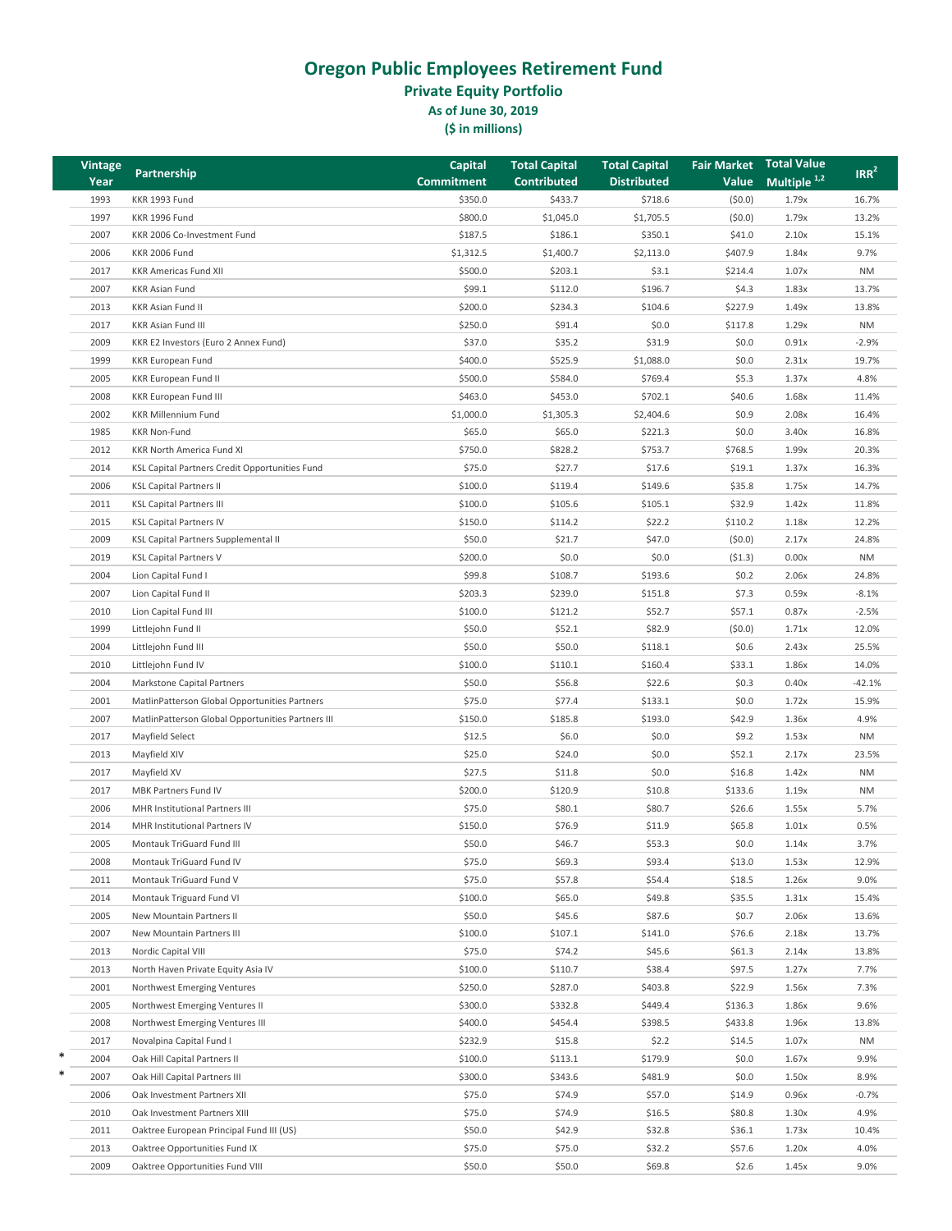**Private Equity Portfolio**

**As of June 30, 2019**

| <b>Vintage</b> | Partnership                                                            | <b>Capital</b>    | <b>Total Capital</b> | <b>Total Capital</b> | <b>Fair Market Total Value</b> |                | IRR <sup>2</sup> |
|----------------|------------------------------------------------------------------------|-------------------|----------------------|----------------------|--------------------------------|----------------|------------------|
| Year           |                                                                        | <b>Commitment</b> | <b>Contributed</b>   | <b>Distributed</b>   | Value                          | Multiple $1,2$ |                  |
| 1993           | KKR 1993 Fund                                                          | \$350.0           | \$433.7              | \$718.6              | (50.0)                         | 1.79x          | 16.7%            |
| 1997           | KKR 1996 Fund                                                          | \$800.0           | \$1,045.0            | \$1,705.5            | (50.0)                         | 1.79x          | 13.2%            |
| 2007           | KKR 2006 Co-Investment Fund                                            | \$187.5           | \$186.1              | \$350.1              | \$41.0                         | 2.10x          | 15.1%            |
| 2006           | <b>KKR 2006 Fund</b>                                                   | \$1,312.5         | \$1,400.7            | \$2,113.0            | \$407.9                        | 1.84x          | 9.7%             |
| 2017           | <b>KKR Americas Fund XII</b>                                           | \$500.0           | \$203.1              | \$3.1                | \$214.4                        | 1.07x          | <b>NM</b>        |
| 2007           | <b>KKR Asian Fund</b>                                                  | \$99.1            | \$112.0              | \$196.7              | \$4.3                          | 1.83x          | 13.7%            |
| 2013           | KKR Asian Fund II                                                      | \$200.0           | \$234.3              | \$104.6              | \$227.9                        | 1.49x          | 13.8%            |
| 2017           | <b>KKR Asian Fund III</b>                                              | \$250.0           | \$91.4               | \$0.0\$              | \$117.8                        | 1.29x          | <b>NM</b>        |
| 2009           | KKR E2 Investors (Euro 2 Annex Fund)                                   | \$37.0            | \$35.2               | \$31.9               | \$0.0                          | 0.91x          | $-2.9%$          |
| 1999           | <b>KKR European Fund</b>                                               | \$400.0           | \$525.9              | \$1,088.0            | \$0.0                          | 2.31x          | 19.7%            |
| 2005           | <b>KKR European Fund II</b>                                            | \$500.0           | \$584.0              | \$769.4              | \$5.3                          | 1.37x          | 4.8%             |
| 2008           | <b>KKR European Fund III</b>                                           | \$463.0           | \$453.0              | \$702.1              | \$40.6                         | 1.68x          | 11.4%            |
| 2002           | <b>KKR Millennium Fund</b>                                             | \$1,000.0         | \$1,305.3            | \$2,404.6            | \$0.9                          | 2.08x          | 16.4%            |
| 1985           | <b>KKR Non-Fund</b>                                                    | \$65.0            | \$65.0               | \$221.3              | \$0.0                          | 3.40x          | 16.8%            |
| 2012           | KKR North America Fund XI                                              | \$750.0           | \$828.2              | \$753.7              | \$768.5                        | 1.99x          | 20.3%            |
| 2014           | KSL Capital Partners Credit Opportunities Fund                         | \$75.0            | \$27.7               | \$17.6               | \$19.1                         | 1.37x          | 16.3%            |
| 2006           | <b>KSL Capital Partners II</b>                                         | \$100.0           | \$119.4              | \$149.6              | \$35.8                         | 1.75x          | 14.7%            |
| 2011           | <b>KSL Capital Partners III</b>                                        | \$100.0           | \$105.6              | \$105.1              | \$32.9                         | 1.42x          | 11.8%            |
| 2015           | <b>KSL Capital Partners IV</b>                                         | \$150.0           | \$114.2              | \$22.2               | \$110.2                        | 1.18x          | 12.2%            |
| 2009           | <b>KSL Capital Partners Supplemental II</b>                            | \$50.0            | \$21.7               | \$47.0               | (50.0)                         | 2.17x          | 24.8%            |
| 2019           | <b>KSL Capital Partners V</b>                                          | \$200.0           | \$0.0                | \$0.0\$              | (51.3)                         | 0.00x          | <b>NM</b>        |
| 2004           | Lion Capital Fund I                                                    | \$99.8            | \$108.7              | \$193.6              | \$0.2                          | 2.06x          | 24.8%            |
| 2007           | Lion Capital Fund II                                                   | \$203.3           | \$239.0              | \$151.8              | \$7.3                          | 0.59x          | $-8.1%$          |
| 2010           | Lion Capital Fund III                                                  | \$100.0           | \$121.2              | \$52.7               | \$57.1                         | 0.87x          | $-2.5%$          |
| 1999           | Littlejohn Fund II                                                     | \$50.0            | \$52.1               | \$82.9               | (50.0)                         | 1.71x          | 12.0%            |
| 2004           | Littlejohn Fund III                                                    | \$50.0            | \$50.0               | \$118.1              | \$0.6                          | 2.43x          | 25.5%            |
| 2010           | Littlejohn Fund IV                                                     | \$100.0           | \$110.1              | \$160.4              | \$33.1                         | 1.86x          | 14.0%            |
| 2004           | Markstone Capital Partners                                             | \$50.0            | \$56.8               | \$22.6               | \$0.3                          | 0.40x          | $-42.1%$         |
| 2001           | MatlinPatterson Global Opportunities Partners                          | \$75.0            | \$77.4               | \$133.1              | \$0.0                          | 1.72x          | 15.9%            |
| 2007           | MatlinPatterson Global Opportunities Partners III                      | \$150.0           | \$185.8              | \$193.0              | \$42.9                         | 1.36x          | 4.9%             |
| 2017           | Mayfield Select                                                        | \$12.5            | \$6.0                | \$0.0                | \$9.2                          | 1.53x          | <b>NM</b>        |
| 2013           | Mayfield XIV                                                           | \$25.0            | \$24.0               | \$0.0\$              | \$52.1                         | 2.17x          | 23.5%            |
| 2017           | Mayfield XV                                                            | \$27.5            | \$11.8               | \$0.0\$              | \$16.8                         | 1.42x          | <b>NM</b>        |
| 2017           | <b>MBK Partners Fund IV</b>                                            | \$200.0           | \$120.9              | \$10.8               | \$133.6                        | 1.19x          | <b>NM</b>        |
|                |                                                                        |                   |                      |                      |                                |                |                  |
| 2006<br>2014   | <b>MHR Institutional Partners III</b><br>MHR Institutional Partners IV | \$75.0<br>\$150.0 | \$80.1<br>\$76.9     | \$80.7<br>\$11.9     | \$26.6<br>\$65.8               | 1.55x<br>1.01x | 5.7%<br>0.5%     |
|                | Montauk TriGuard Fund III                                              |                   |                      |                      |                                |                |                  |
| 2005           |                                                                        | \$50.0            | \$46.7               | \$53.3               | \$0.0                          | 1.14x          | 3.7%             |
| 2008           | Montauk TriGuard Fund IV                                               | \$75.0            | \$69.3               | \$93.4               | \$13.0                         | 1.53x          | 12.9%            |
| 2011           | Montauk TriGuard Fund V                                                | \$75.0            | \$57.8               | \$54.4               | \$18.5                         | 1.26x          | 9.0%             |
| 2014           | Montauk Triguard Fund VI                                               | \$100.0           | \$65.0               | \$49.8               | \$35.5                         | 1.31x          | 15.4%            |
| 2005           | New Mountain Partners II                                               | \$50.0            | \$45.6               | \$87.6               | \$0.7                          | 2.06x          | 13.6%            |
| 2007           | New Mountain Partners III                                              | \$100.0           | \$107.1              | \$141.0              | \$76.6                         | 2.18x          | 13.7%            |
| 2013           | Nordic Capital VIII                                                    | \$75.0            | \$74.2               | \$45.6               | \$61.3                         | 2.14x          | 13.8%            |
| 2013           | North Haven Private Equity Asia IV                                     | \$100.0           | \$110.7              | \$38.4               | \$97.5                         | 1.27x          | 7.7%             |
| 2001           | Northwest Emerging Ventures                                            | \$250.0           | \$287.0              | \$403.8              | \$22.9                         | 1.56x          | 7.3%             |
| 2005           | Northwest Emerging Ventures II                                         | \$300.0           | \$332.8              | \$449.4              | \$136.3                        | 1.86x          | 9.6%             |
| 2008           | Northwest Emerging Ventures III                                        | \$400.0           | \$454.4              | \$398.5              | \$433.8                        | 1.96x          | 13.8%            |
| 2017           | Novalpina Capital Fund I                                               | \$232.9           | \$15.8               | \$2.2                | \$14.5                         | 1.07x          | <b>NM</b>        |
| 2004<br>$\ast$ | Oak Hill Capital Partners II                                           | \$100.0           | \$113.1              | \$179.9              | \$0.0                          | 1.67x          | 9.9%             |
| 2007           | Oak Hill Capital Partners III                                          | \$300.0           | \$343.6              | \$481.9              | \$0.0                          | 1.50x          | 8.9%             |
| 2006           | Oak Investment Partners XII                                            | \$75.0            | \$74.9               | \$57.0               | \$14.9                         | 0.96x          | $-0.7%$          |
| 2010           | Oak Investment Partners XIII                                           | \$75.0            | \$74.9               | \$16.5               | \$80.8                         | 1.30x          | 4.9%             |
| 2011           | Oaktree European Principal Fund III (US)                               | \$50.0            | \$42.9               | \$32.8               | \$36.1                         | 1.73x          | 10.4%            |
| 2013           | Oaktree Opportunities Fund IX                                          | \$75.0            | \$75.0               | \$32.2               | \$57.6                         | 1.20x          | 4.0%             |
| 2009           | Oaktree Opportunities Fund VIII                                        | \$50.0            | \$50.0               | \$69.8               | \$2.6                          | 1.45x          | 9.0%             |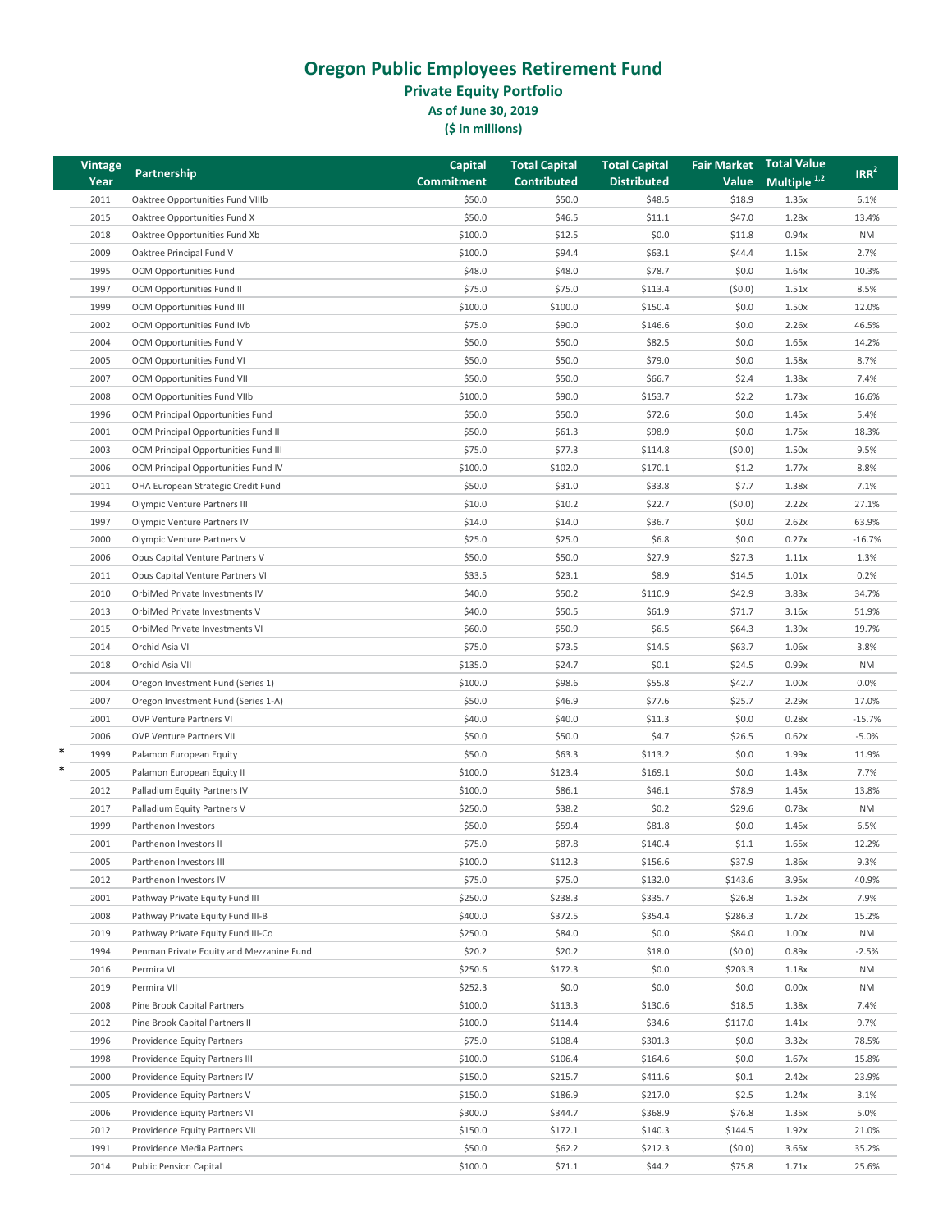**Private Equity Portfolio**

**As of June 30, 2019**

| <b>Vintage</b> |                                          | <b>Capital</b> | <b>Total Capital</b> | <b>Total Capital</b> | <b>Fair Market</b> | <b>Total Value</b>      | IRR <sup>2</sup> |
|----------------|------------------------------------------|----------------|----------------------|----------------------|--------------------|-------------------------|------------------|
| Year           | Partnership                              | Commitment     | <b>Contributed</b>   | <b>Distributed</b>   | Value              | Multiple <sup>1,2</sup> |                  |
| 2011           | Oaktree Opportunities Fund VIIIb         | \$50.0         | \$50.0               | \$48.5               | \$18.9             | 1.35x                   | 6.1%             |
| 2015           | Oaktree Opportunities Fund X             | \$50.0         | \$46.5               | \$11.1               | \$47.0             | 1.28x                   | 13.4%            |
| 2018           | Oaktree Opportunities Fund Xb            | \$100.0        | \$12.5               | \$0.0                | \$11.8             | 0.94x                   | <b>NM</b>        |
| 2009           | Oaktree Principal Fund V                 | \$100.0        | \$94.4               | \$63.1               | \$44.4             | 1.15x                   | 2.7%             |
| 1995           | <b>OCM Opportunities Fund</b>            | \$48.0         | \$48.0               | \$78.7               | \$0.0              | 1.64x                   | 10.3%            |
| 1997           | OCM Opportunities Fund II                | \$75.0         | \$75.0               | \$113.4              | (50.0)             | 1.51x                   | 8.5%             |
| 1999           | <b>OCM Opportunities Fund III</b>        | \$100.0        | \$100.0              | \$150.4              | \$0.0              | 1.50x                   | 12.0%            |
| 2002           | OCM Opportunities Fund IVb               | \$75.0         | \$90.0               | \$146.6              | \$0.0              | 2.26x                   | 46.5%            |
| 2004           | OCM Opportunities Fund V                 | \$50.0         | \$50.0               | \$82.5               | \$0.0              | 1.65x                   | 14.2%            |
| 2005           | <b>OCM Opportunities Fund VI</b>         | \$50.0         | \$50.0               | \$79.0               | \$0.0              | 1.58x                   | 8.7%             |
| 2007           |                                          | \$50.0         | \$50.0               | \$66.7               | \$2.4              | 1.38x                   | 7.4%             |
|                | OCM Opportunities Fund VII               |                |                      |                      |                    |                         |                  |
| 2008           | OCM Opportunities Fund VIIb              | \$100.0        | \$90.0               | \$153.7              | \$2.2              | 1.73x                   | 16.6%            |
| 1996           | OCM Principal Opportunities Fund         | \$50.0         | \$50.0               | \$72.6               | \$0.0              | 1.45x                   | 5.4%             |
| 2001           | OCM Principal Opportunities Fund II      | \$50.0         | \$61.3               | \$98.9               | \$0.0              | 1.75x                   | 18.3%            |
| 2003           | OCM Principal Opportunities Fund III     | \$75.0         | \$77.3               | \$114.8              | (50.0)             | 1.50x                   | 9.5%             |
| 2006           | OCM Principal Opportunities Fund IV      | \$100.0        | \$102.0              | \$170.1              | \$1.2              | 1.77x                   | 8.8%             |
| 2011           | OHA European Strategic Credit Fund       | \$50.0         | \$31.0               | \$33.8               | \$7.7              | 1.38x                   | 7.1%             |
| 1994           | Olympic Venture Partners III             | \$10.0         | \$10.2\$             | \$22.7               | (50.0)             | 2.22x                   | 27.1%            |
| 1997           | Olympic Venture Partners IV              | \$14.0         | \$14.0               | \$36.7               | \$0.0              | 2.62x                   | 63.9%            |
| 2000           | Olympic Venture Partners V               | \$25.0         | \$25.0               | \$6.8                | \$0.0              | 0.27x                   | $-16.7%$         |
| 2006           | Opus Capital Venture Partners V          | \$50.0         | \$50.0               | \$27.9               | \$27.3             | 1.11x                   | 1.3%             |
| 2011           | Opus Capital Venture Partners VI         | \$33.5         | \$23.1               | \$8.9                | \$14.5             | 1.01x                   | 0.2%             |
| 2010           | OrbiMed Private Investments IV           | \$40.0         | \$50.2               | \$110.9              | \$42.9             | 3.83x                   | 34.7%            |
| 2013           | OrbiMed Private Investments V            | \$40.0         | \$50.5               | \$61.9               | \$71.7             | 3.16x                   | 51.9%            |
| 2015           | OrbiMed Private Investments VI           | \$60.0         | \$50.9               | \$6.5                | \$64.3             | 1.39x                   | 19.7%            |
| 2014           | Orchid Asia VI                           | \$75.0         | \$73.5               | \$14.5               | \$63.7             | 1.06x                   | 3.8%             |
| 2018           | Orchid Asia VII                          | \$135.0        | \$24.7               | \$0.1                | \$24.5             | 0.99x                   | <b>NM</b>        |
| 2004           | Oregon Investment Fund (Series 1)        | \$100.0        | \$98.6               | \$55.8               | \$42.7             | 1.00x                   | 0.0%             |
| 2007           | Oregon Investment Fund (Series 1-A)      | \$50.0         | \$46.9               | \$77.6               | \$25.7             | 2.29x                   | 17.0%            |
| 2001           | <b>OVP Venture Partners VI</b>           | \$40.0         | \$40.0               | \$11.3               | \$0.0              | 0.28x                   | $-15.7%$         |
| 2006           | <b>OVP Venture Partners VII</b>          | \$50.0         | \$50.0               | \$4.7                | \$26.5             | 0.62x                   | $-5.0%$          |
| 1999           | Palamon European Equity                  | \$50.0         | \$63.3               | \$113.2              | \$0.0              | 1.99x                   | 11.9%            |
| *<br>2005      | Palamon European Equity II               | \$100.0        | \$123.4              | \$169.1              | \$0.0              | 1.43x                   | 7.7%             |
| 2012           | Palladium Equity Partners IV             | \$100.0        | \$86.1               | \$46.1               | \$78.9             | 1.45x                   | 13.8%            |
| 2017           | Palladium Equity Partners V              | \$250.0        | \$38.2               | \$0.2                | \$29.6             | 0.78x                   | NM               |
| 1999           | Parthenon Investors                      | \$50.0         | \$59.4               | \$81.8               | \$0.0              | 1.45x                   | 6.5%             |
| 2001           | Parthenon Investors II                   | \$75.0         | \$87.8               | \$140.4              | \$1.1              | 1.65x                   | 12.2%            |
|                |                                          |                |                      |                      |                    |                         |                  |
| 2005           | Parthenon Investors III                  | \$100.0        | \$112.3              | \$156.6              | \$37.9             | 1.86x                   | 9.3%             |
| 2012           | Parthenon Investors IV                   | \$75.0         | \$75.0               | \$132.0              | \$143.6            | 3.95x                   | 40.9%            |
| 2001           | Pathway Private Equity Fund III          | \$250.0        | \$238.3              | \$335.7              | \$26.8             | 1.52x                   | 7.9%             |
| 2008           | Pathway Private Equity Fund III-B        | \$400.0        | \$372.5              | \$354.4              | \$286.3            | 1.72x                   | 15.2%            |
| 2019           | Pathway Private Equity Fund III-Co       | \$250.0        | \$84.0               | \$0.0                | \$84.0             | 1.00x                   | <b>NM</b>        |
| 1994           | Penman Private Equity and Mezzanine Fund | \$20.2\$       | \$20.2               | \$18.0               | (50.0)             | 0.89x                   | $-2.5%$          |
| 2016           | Permira VI                               | \$250.6        | \$172.3              | \$0.0                | \$203.3            | 1.18x                   | ΝM               |
| 2019           | Permira VII                              | \$252.3        | \$0.0\$              | \$0.0                | \$0.0              | 0.00x                   | <b>NM</b>        |
| 2008           | Pine Brook Capital Partners              | \$100.0        | \$113.3              | \$130.6              | \$18.5             | 1.38x                   | 7.4%             |
| 2012           | Pine Brook Capital Partners II           | \$100.0        | \$114.4              | \$34.6               | \$117.0            | 1.41x                   | 9.7%             |
| 1996           | <b>Providence Equity Partners</b>        | \$75.0         | \$108.4              | \$301.3              | \$0.0              | 3.32x                   | 78.5%            |
| 1998           | Providence Equity Partners III           | \$100.0        | \$106.4              | \$164.6              | \$0.0              | 1.67x                   | 15.8%            |
| 2000           | Providence Equity Partners IV            | \$150.0        | \$215.7              | \$411.6              | \$0.1              | 2.42x                   | 23.9%            |
| 2005           | Providence Equity Partners V             | \$150.0        | \$186.9              | \$217.0              | \$2.5              | 1.24x                   | 3.1%             |
| 2006           | Providence Equity Partners VI            | \$300.0        | \$344.7              | \$368.9              | \$76.8             | 1.35x                   | 5.0%             |
| 2012           | Providence Equity Partners VII           | \$150.0        | \$172.1              | \$140.3              | \$144.5            | 1.92x                   | 21.0%            |
| 1991           | Providence Media Partners                | \$50.0         | \$62.2\$             | \$212.3              | (50.0)             | 3.65x                   | 35.2%            |
| 2014           | <b>Public Pension Capital</b>            | \$100.0        | \$71.1               | \$44.2               | \$75.8             | 1.71x                   | 25.6%            |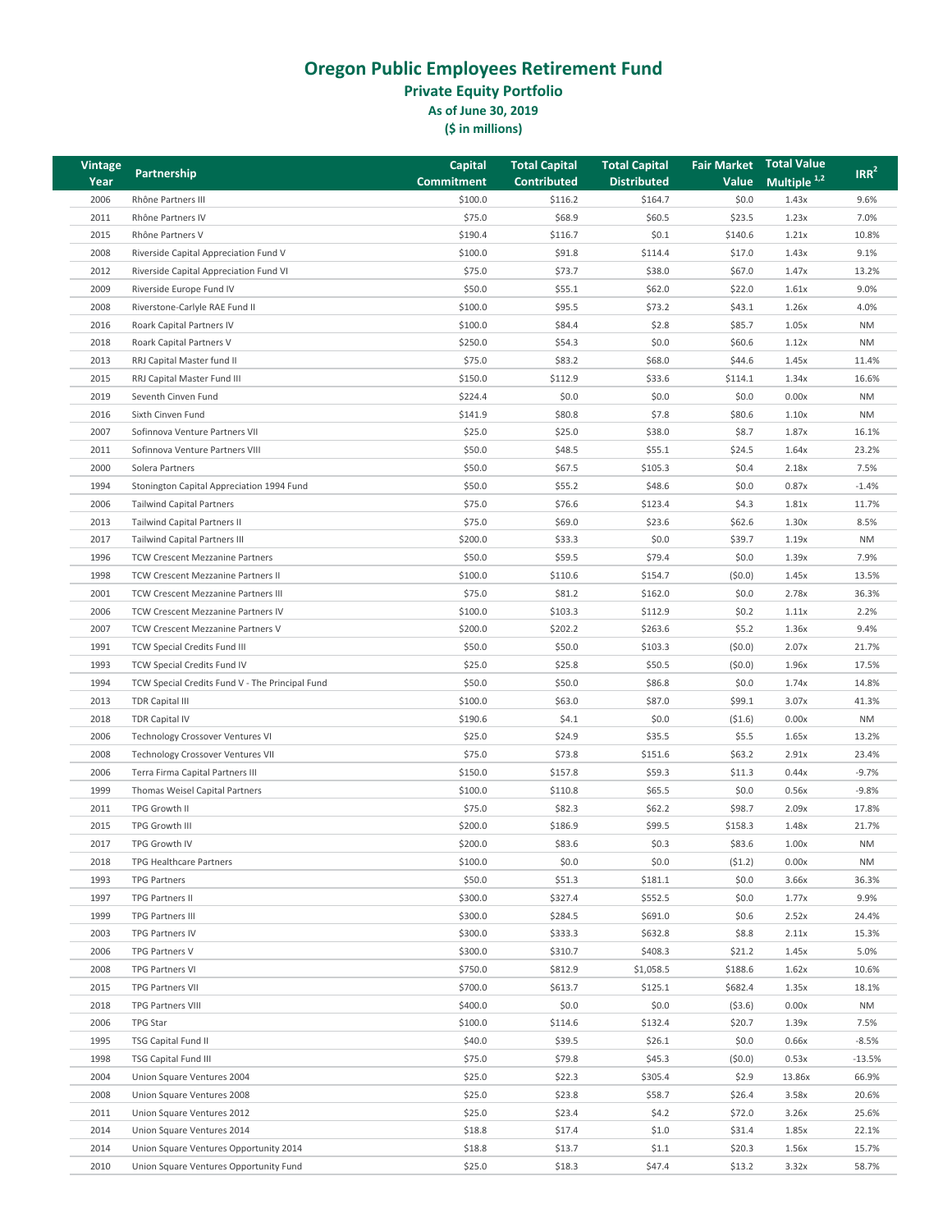**Private Equity Portfolio**

**As of June 30, 2019**

| Vintage |                                                 | <b>Capital</b>    | <b>Total Capital</b> | <b>Total Capital</b> | <b>Fair Market</b> | <b>Total Value</b>      | IRR <sup>2</sup> |
|---------|-------------------------------------------------|-------------------|----------------------|----------------------|--------------------|-------------------------|------------------|
| Year    | Partnership                                     | <b>Commitment</b> | <b>Contributed</b>   | <b>Distributed</b>   | Value              | Multiple <sup>1,2</sup> |                  |
| 2006    | Rhône Partners III                              | \$100.0           | \$116.2              | \$164.7              | \$0.0              | 1.43x                   | 9.6%             |
| 2011    | Rhône Partners IV                               | \$75.0            | \$68.9               | \$60.5               | \$23.5             | 1.23x                   | 7.0%             |
| 2015    | Rhône Partners V                                | \$190.4           | \$116.7              | \$0.1                | \$140.6            | 1.21x                   | 10.8%            |
| 2008    | Riverside Capital Appreciation Fund V           | \$100.0           | \$91.8               | \$114.4              | \$17.0             | 1.43x                   | 9.1%             |
| 2012    | Riverside Capital Appreciation Fund VI          | \$75.0            | \$73.7               | \$38.0               | \$67.0             | 1.47x                   | 13.2%            |
| 2009    | Riverside Europe Fund IV                        | \$50.0            | \$55.1               | \$62.0               | \$22.0             | 1.61x                   | 9.0%             |
| 2008    | Riverstone-Carlyle RAE Fund II                  | \$100.0           | \$95.5               | \$73.2               | \$43.1             | 1.26x                   | 4.0%             |
| 2016    | Roark Capital Partners IV                       | \$100.0           | \$84.4               | \$2.8                | \$85.7             | 1.05x                   | <b>NM</b>        |
| 2018    | Roark Capital Partners V                        | \$250.0           | \$54.3               | \$0.0\$              | \$60.6             | 1.12x                   | <b>NM</b>        |
| 2013    | RRJ Capital Master fund II                      | \$75.0            | \$83.2               | \$68.0               | \$44.6             | 1.45x                   | 11.4%            |
| 2015    | RRJ Capital Master Fund III                     | \$150.0           | \$112.9              | \$33.6               | \$114.1            | 1.34x                   | 16.6%            |
| 2019    |                                                 |                   |                      |                      |                    |                         |                  |
|         | Seventh Cinven Fund                             | \$224.4           | \$0.0\$              | \$0.0\$              | \$0.0              | 0.00x                   | <b>NM</b>        |
| 2016    | Sixth Cinven Fund                               | \$141.9           | \$80.8               | \$7.8                | \$80.6             | 1.10x                   | <b>NM</b>        |
| 2007    | Sofinnova Venture Partners VII                  | \$25.0            | \$25.0               | \$38.0               | \$8.7              | 1.87x                   | 16.1%            |
| 2011    | Sofinnova Venture Partners VIII                 | \$50.0            | \$48.5               | \$55.1               | \$24.5             | 1.64x                   | 23.2%            |
| 2000    | Solera Partners                                 | \$50.0            | \$67.5               | \$105.3              | \$0.4              | 2.18x                   | 7.5%             |
| 1994    | Stonington Capital Appreciation 1994 Fund       | \$50.0            | \$55.2               | \$48.6               | \$0.0              | 0.87x                   | $-1.4%$          |
| 2006    | <b>Tailwind Capital Partners</b>                | \$75.0            | \$76.6               | \$123.4              | \$4.3              | 1.81x                   | 11.7%            |
| 2013    | Tailwind Capital Partners II                    | \$75.0            | \$69.0               | \$23.6               | \$62.6             | 1.30x                   | 8.5%             |
| 2017    | <b>Tailwind Capital Partners III</b>            | \$200.0           | \$33.3               | \$0.0\$              | \$39.7             | 1.19x                   | <b>NM</b>        |
| 1996    | <b>TCW Crescent Mezzanine Partners</b>          | \$50.0            | \$59.5               | \$79.4               | \$0.0              | 1.39x                   | 7.9%             |
| 1998    | TCW Crescent Mezzanine Partners II              | \$100.0           | \$110.6              | \$154.7              | (50.0)             | 1.45x                   | 13.5%            |
| 2001    | TCW Crescent Mezzanine Partners III             | \$75.0            | \$81.2               | \$162.0              | \$0.0              | 2.78x                   | 36.3%            |
| 2006    | TCW Crescent Mezzanine Partners IV              | \$100.0           | \$103.3              | \$112.9              | \$0.2              | 1.11x                   | 2.2%             |
| 2007    | TCW Crescent Mezzanine Partners V               | \$200.0           | \$202.2              | \$263.6              | \$5.2              | 1.36x                   | 9.4%             |
| 1991    | TCW Special Credits Fund III                    | \$50.0            | \$50.0               | \$103.3              | (50.0)             | 2.07x                   | 21.7%            |
| 1993    | TCW Special Credits Fund IV                     | \$25.0            | \$25.8               | \$50.5               | (50.0)             | 1.96x                   | 17.5%            |
| 1994    | TCW Special Credits Fund V - The Principal Fund | \$50.0            | \$50.0               | \$86.8               | \$0.0              | 1.74x                   | 14.8%            |
| 2013    | <b>TDR Capital III</b>                          | \$100.0           | \$63.0               | \$87.0               | \$99.1             | 3.07x                   | 41.3%            |
| 2018    | <b>TDR Capital IV</b>                           | \$190.6           | \$4.1                | \$0.0                | (51.6)             | 0.00x                   | <b>NM</b>        |
| 2006    | Technology Crossover Ventures VI                | \$25.0            | \$24.9               | \$35.5               | \$5.5              | 1.65x                   | 13.2%            |
| 2008    | Technology Crossover Ventures VII               | \$75.0            | \$73.8               | \$151.6              | \$63.2             | 2.91x                   | 23.4%            |
| 2006    | Terra Firma Capital Partners III                | \$150.0           | \$157.8              | \$59.3               | \$11.3             | 0.44x                   | $-9.7%$          |
| 1999    | Thomas Weisel Capital Partners                  | \$100.0           | \$110.8              | \$65.5               | \$0.0              | 0.56x                   | $-9.8%$          |
| 2011    | TPG Growth II                                   | \$75.0            | \$82.3               | \$62.2               | \$98.7             | 2.09x                   | 17.8%            |
| 2015    | TPG Growth III                                  | \$200.0           | \$186.9              | \$99.5               | \$158.3            |                         | 21.7%            |
|         |                                                 |                   |                      |                      |                    | 1.48x                   |                  |
| 2017    | TPG Growth IV                                   | \$200.0           | \$83.6               | \$0.3\$              | \$83.6             | 1.00x                   | <b>NM</b>        |
| 2018    | TPG Healthcare Partners                         | \$100.0           | \$0.0\$              | \$0.0                | (51.2)             | 0.00x                   | <b>NM</b>        |
| 1993    | <b>TPG Partners</b>                             | \$50.0            | \$51.3               | \$181.1              | \$0.0              | 3.66x                   | 36.3%            |
| 1997    | TPG Partners II                                 | \$300.0           | \$327.4              | \$552.5              | \$0.0              | 1.77x                   | 9.9%             |
| 1999    | TPG Partners III                                | \$300.0           | \$284.5              | \$691.0              | \$0.6              | 2.52x                   | 24.4%            |
| 2003    | TPG Partners IV                                 | \$300.0           | \$333.3              | \$632.8              | \$8.8              | 2.11x                   | 15.3%            |
| 2006    | TPG Partners V                                  | \$300.0           | \$310.7              | \$408.3              | \$21.2             | 1.45x                   | 5.0%             |
| 2008    | TPG Partners VI                                 | \$750.0           | \$812.9              | \$1,058.5            | \$188.6            | 1.62x                   | 10.6%            |
| 2015    | TPG Partners VII                                | \$700.0           | \$613.7              | \$125.1              | \$682.4            | 1.35x                   | 18.1%            |
| 2018    | <b>TPG Partners VIII</b>                        | \$400.0           | \$0.0\$              | \$0.0                | ( \$3.6)           | 0.00x                   | <b>NM</b>        |
| 2006    | TPG Star                                        | \$100.0           | \$114.6              | \$132.4              | \$20.7             | 1.39x                   | 7.5%             |
| 1995    | TSG Capital Fund II                             | \$40.0            | \$39.5               | \$26.1               | \$0.0              | 0.66x                   | $-8.5%$          |
| 1998    | TSG Capital Fund III                            | \$75.0            | \$79.8               | \$45.3               | (50.0)             | 0.53x                   | $-13.5%$         |
| 2004    | Union Square Ventures 2004                      | \$25.0            | \$22.3               | \$305.4              | \$2.9              | 13.86x                  | 66.9%            |
| 2008    | Union Square Ventures 2008                      | \$25.0            | \$23.8               | \$58.7               | \$26.4             | 3.58x                   | 20.6%            |
| 2011    | Union Square Ventures 2012                      | \$25.0            | \$23.4               | \$4.2                | \$72.0             | 3.26x                   | 25.6%            |
| 2014    | Union Square Ventures 2014                      | \$18.8            | \$17.4               | \$1.0                | \$31.4             | 1.85x                   | 22.1%            |
| 2014    | Union Square Ventures Opportunity 2014          | \$18.8            | \$13.7               | \$1.1                | \$20.3             | 1.56x                   | 15.7%            |
| 2010    | Union Square Ventures Opportunity Fund          | \$25.0            | \$18.3               | \$47.4               | \$13.2             | 3.32x                   | 58.7%            |
|         |                                                 |                   |                      |                      |                    |                         |                  |